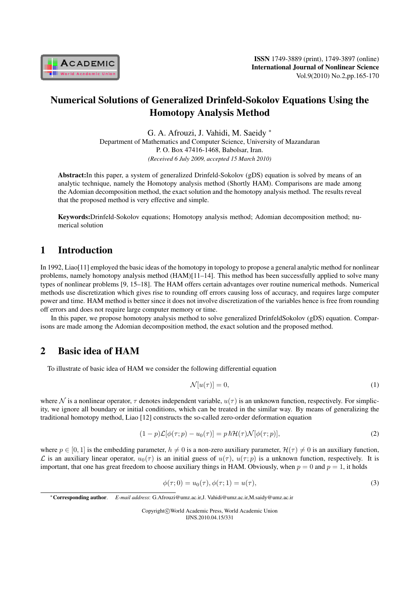

# Numerical Solutions of Generalized Drinfeld-Sokolov Equations Using the Homotopy Analysis Method

G. A. Afrouzi, J. Vahidi, M. Saeidy *<sup>∗</sup>* Department of Mathematics and Computer Science, University of Mazandaran P. O. Box 47416-1468, Babolsar, Iran. *(Received 6 July 2009, accepted 15 March 2010)*

Abstract:In this paper, a system of generalized Drinfeld-Sokolov (gDS) equation is solved by means of an analytic technique, namely the Homotopy analysis method (Shortly HAM). Comparisons are made among the Adomian decomposition method, the exact solution and the homotopy analysis method. The results reveal that the proposed method is very effective and simple.

Keywords:Drinfeld-Sokolov equations; Homotopy analysis method; Adomian decomposition method; numerical solution

## 1 Introduction

In 1992, Liao[11] employed the basic ideas of the homotopy in topology to propose a general analytic method for nonlinear problems, namely homotopy analysis method (HAM)[11–14]. This method has been successfully applied to solve many types of nonlinear problems [9, 15–18]. The HAM offers certain advantages over routine numerical methods. Numerical methods use discretization which gives rise to rounding off errors causing loss of accuracy, and requires large computer power and time. HAM method is better since it does not involve discretization of the variables hence is free from rounding off errors and does not require large computer memory or time.

In this paper, we propose homotopy analysis method to solve generalized DrinfeldSokolov (gDS) equation. Comparisons are made among the Adomian decomposition method, the exact solution and the proposed method.

## 2 Basic idea of HAM

To illustrate of basic idea of HAM we consider the following differential equation

$$
\mathcal{N}[u(\tau)] = 0,\tag{1}
$$

where N is a nonlinear operator,  $\tau$  denotes independent variable,  $u(\tau)$  is an unknown function, respectively. For simplicity, we ignore all boundary or initial conditions, which can be treated in the similar way. By means of generalizing the traditional homotopy method, Liao [12] constructs the so-called zero-order deformation equation

$$
(1-p)\mathcal{L}[\phi(\tau;p) - u_0(\tau)] = p \hbar \mathcal{H}(\tau)\mathcal{N}[\phi(\tau;p)],\tag{2}
$$

where  $p \in [0, 1]$  is the embedding parameter,  $h \neq 0$  is a non-zero auxiliary parameter,  $\mathcal{H}(\tau) \neq 0$  is an auxiliary function, *L* is an auxiliary linear operator,  $u_0(\tau)$  is an initial guess of  $u(\tau)$ ,  $u(\tau;p)$  is a unknown function, respectively. It is important, that one has great freedom to choose auxiliary things in HAM. Obviously, when  $p = 0$  and  $p = 1$ , it holds

$$
\phi(\tau; 0) = u_0(\tau), \phi(\tau; 1) = u(\tau), \tag{3}
$$

Copyright*⃝*c World Academic Press, World Academic Union IJNS.2010.04.15/331

*<sup>∗</sup>*Corresponding author. *E-mail address*: G.Afrouzi@umz.ac.ir,J. Vahidi@umz.ac.ir,M.saidy@umz.ac.ir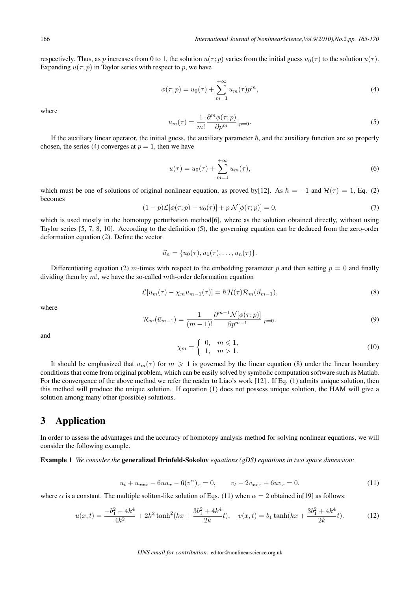respectively. Thus, as p increases from 0 to 1, the solution  $u(\tau; v)$  varies from the initial guess  $u_0(\tau)$  to the solution  $u(\tau)$ . Expanding  $u(\tau; p)$  in Taylor series with respect to p, we have

$$
\phi(\tau; p) = u_0(\tau) + \sum_{m=1}^{+\infty} u_m(\tau) p^m,
$$
\n(4)

where

$$
u_m(\tau) = \frac{1}{m!} \frac{\partial^m \phi(\tau; p)}{\partial p^m} |_{p=0}.
$$
\n(5)

If the auxiliary linear operator, the initial guess, the auxiliary parameter  $\hbar$ , and the auxiliary function are so properly chosen, the series (4) converges at  $p = 1$ , then we have

$$
u(\tau) = u_0(\tau) + \sum_{m=1}^{+\infty} u_m(\tau),
$$
\n(6)

which must be one of solutions of original nonlinear equation, as proved by[12]. As  $\hbar = -1$  and  $\mathcal{H}(\tau) = 1$ , Eq. (2) becomes

$$
(1-p)\mathcal{L}[\phi(\tau;p) - u_0(\tau)] + p \mathcal{N}[\phi(\tau;p)] = 0,
$$
\n<sup>(7)</sup>

which is used mostly in the homotopy perturbation method [6], where as the solution obtained directly, without using Taylor series [5, 7, 8, 10]. According to the definition (5), the governing equation can be deduced from the zero-order deformation equation (2). Define the vector

$$
\vec{u}_n = \{u_0(\tau), u_1(\tau), \ldots, u_n(\tau)\}.
$$

Differentiating equation (2)  $m$ -times with respect to the embedding parameter  $p$  and then setting  $p = 0$  and finally dividing them by  $m!$ , we have the so-called  $m$ th-order deformation equation

$$
\mathcal{L}[u_m(\tau) - \chi_m u_{m-1}(\tau)] = \hbar \mathcal{H}(\tau) \mathcal{R}_m(\vec{u}_{m-1}), \tag{8}
$$

where

$$
\mathcal{R}_m(\vec{u}_{m-1}) = \frac{1}{(m-1)!} \frac{\partial^{m-1} \mathcal{N}[\phi(\tau;p)]}{\partial p^{m-1}}|_{p=0}.
$$
\n(9)

and

$$
\chi_m = \left\{ \begin{array}{ll} 0, & m \leqslant 1, \\ 1, & m > 1. \end{array} \right. \tag{10}
$$

It should be emphasized that  $u_m(\tau)$  for  $m \geqslant 1$  is governed by the linear equation (8) under the linear boundary conditions that come from original problem, which can be easily solved by symbolic computation software such as Matlab. For the convergence of the above method we refer the reader to Liao's work [12] . If Eq. (1) admits unique solution, then this method will produce the unique solution. If equation (1) does not possess unique solution, the HAM will give a solution among many other (possible) solutions.

#### 3 Application

In order to assess the advantages and the accuracy of homotopy analysis method for solving nonlinear equations, we will consider the following example.

Example 1 *We consider the* generalized Drinfeld-Sokolov *equations (gDS) equations in two space dimension:*

$$
u_t + u_{xxx} - 6uu_x - 6(v^\alpha)_x = 0, \qquad v_t - 2v_{xxx} + 6uv_x = 0.
$$
 (11)

where  $\alpha$  is a constant. The multiple soliton-like solution of Eqs. (11) when  $\alpha = 2$  obtained in[19] as follows:

$$
u(x,t) = \frac{-b_1^2 - 4k^4}{4k^2} + 2k^2 \tanh^2(kx + \frac{3b_1^2 + 4k^4}{2k}t), \quad v(x,t) = b_1 \tanh(kx + \frac{3b_1^2 + 4k^4}{2k}t). \tag{12}
$$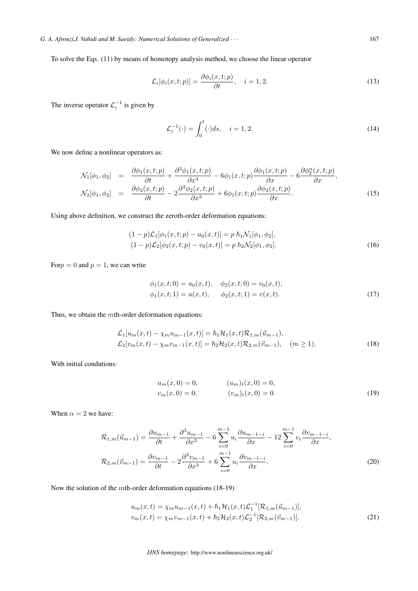To solve the Eqs. (11) by means of homotopy analysis method, we choose the linear operator

$$
\mathcal{L}_i[\phi_i(x,t;p)] = \frac{\partial \phi_i(x,t;p)}{\partial t}, \quad i = 1, 2. \tag{13}
$$

The inverse operator  $\mathcal{L}_i^{-1}$  is given by

$$
\mathcal{L}_i^{-1}(\cdot) = \int_0^t (\cdot)ds, \quad i = 1, 2. \tag{14}
$$

We now define a nonlinear operators as:

$$
\mathcal{N}_1[\phi_1, \phi_2] = \frac{\partial \phi_1(x, t; p)}{\partial t} + \frac{\partial^3 \phi_1(x, t; p)}{\partial x^3} - 6\phi_1(x, t; p)\frac{\partial \phi_1(x, t; p)}{\partial x} - 6\frac{\partial \phi_2(x, t; p)}{\partial x},
$$
\n
$$
\mathcal{N}_2[\phi_1, \phi_2] = \frac{\partial \phi_2(x, t; p)}{\partial t} - 2\frac{\partial^3 \phi_2(x, t; p)}{\partial x^3} + 6\phi_1(x, t; p)\frac{\partial \phi_2(x, t; p)}{\partial x}.
$$
\n(15)

Using above definition, we construct the zeroth-order deformation equations:

$$
(1-p)\mathcal{L}_1[\phi_1(x,t;p) - u_0(x,t)] = p \hbar_1 \mathcal{N}_1[\phi_1, \phi_2],
$$
  
\n
$$
(1-p)\mathcal{L}_2[\phi_2(x,t;p) - v_0(x,t)] = p \hbar_2 \mathcal{N}_2[\phi_1, \phi_2].
$$
\n(16)

For  $p = 0$  and  $p = 1$ , we can write

$$
\begin{aligned}\n\phi_1(x,t;0) &= u_0(x,t), \quad \phi_2(x,t;0) = v_0(x,t), \\
\phi_1(x,t;1) &= u(x,t), \quad \phi_2(x,t;1) = v(x,t).\n\end{aligned} \tag{17}
$$

Thus, we obtain the  $m$ th-order deformation equations:

$$
\mathcal{L}_1[u_m(x,t) - \chi_m u_{m-1}(x,t)] = \hbar_1 \mathcal{H}_1(x,t) \mathcal{R}_{1,m}(\vec{u}_{m-1}),
$$
  
\n
$$
\mathcal{L}_2[v_m(x,t) - \chi_m v_{m-1}(x,t)] = \hbar_2 \mathcal{H}_2(x,t) \mathcal{R}_{2,m}(\vec{v}_{m-1}), \quad (m \ge 1),
$$
\n(18)

With initial condutions:

$$
u_m(x,0) = 0,
$$
  
\n
$$
v_m(x,0) = 0,
$$
  
\n
$$
(u_m)_t(x,0) = 0,
$$
  
\n
$$
(v_m)_t(x,0) = 0.
$$
  
\n(19)

When  $\alpha = 2$  we have:

$$
\mathcal{R}_{1,m}(\vec{u}_{m-1}) = \frac{\partial u_{m-1}}{\partial t} + \frac{\partial^3 u_{m-1}}{\partial x^3} - 6 \sum_{i=0}^{m-1} u_i \frac{\partial u_{m-1-i}}{\partial x} - 12 \sum_{i=0}^{m-1} v_i \frac{\partial v_{m-1-i}}{\partial x},
$$
  

$$
\mathcal{R}_{2,m}(\vec{v}_{m-1}) = \frac{\partial v_{m-1}}{\partial t} - 2 \frac{\partial^3 v_{m-1}}{\partial x^3} + 6 \sum_{i=0}^{m-1} u_i \frac{\partial v_{m-1-i}}{\partial x}.
$$
 (20)

Now the solution of the *mth*-order deformation equations (18-19)

$$
u_m(x,t) = \chi_m u_{m-1}(x,t) + \hbar_1 \mathcal{H}_1(x,t) \mathcal{L}_1^{-1} [\mathcal{R}_{1,m}(\vec{u}_{m-1})],
$$
  
\n
$$
v_m(x,t) = \chi_m v_{m-1}(x,t) + \hbar_2 \mathcal{H}_2(x,t) \mathcal{L}_2^{-1} [\mathcal{R}_{2,m}(\vec{v}_{m-1})].
$$
\n(21)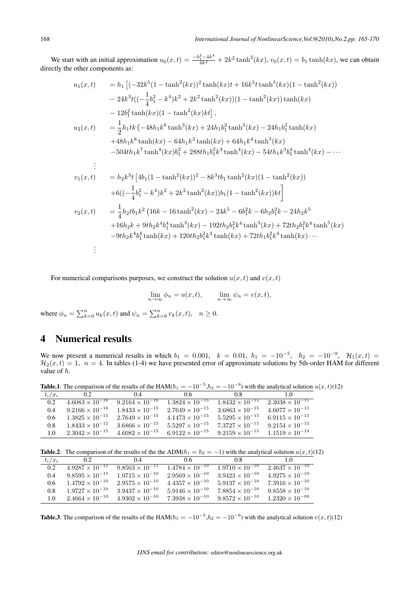We start with an initial approximation  $u_0(x,t) = \frac{-b_1^2 - 4k^4}{4k^2} + 2k^2 \tanh^2(kx)$ ,  $v_0(x,t) = b_1 \tanh(kx)$ , we can obtain directly the other components as:

$$
u_1(x,t) = h_1 \left[ (-32k^5(1-\tanh^2(kx))^2 \tanh(kx)t + 16k^5t \tanh^3(kx)(1-\tanh^2(kx)) \right. \left. - 24k^3t((- \frac{1}{4}b_1^2 - k^4)k^2 + 2k^2 \tanh^2(kx))(1-\tanh^2(kx)) \tanh(kx) \right. \left. - 12b_1^2 \tanh(kx)(1-\tanh^2(kx)kt) \right], \n u_2(x,t) = \frac{1}{2}h_1tk \left( -48h_1k^8 \tanh^3(kx) + 24h_1b_1^2 \tanh^3(kx) - 24h_1b_1^2 \tanh(kx) \right. \left. + 48h_1k^8 \tanh(kx) - 64h_1k^3 \tanh(kx) + 64h_1k^4 \tanh^3(kx) \right. \left. - 504th_1k^7 \tanh^4(kx)b_1^2 + 288th_1b_1b_1k^3 \tanh^4(kx) - 54th_1k^3b_1^4 \tanh^4(kx) - \cdots \right. \n\vdots \n v_1(x,t) = h_2k^3t \left[ 4b_1(1-\tanh^2(kx))^2 - 8k^3tb_1 \tanh^2(kx)(1-\tanh^2(kx)) \right. \n\left. + 6((- \frac{1}{4}b_1^2 - k^4)k^2 + 2k^2 \tanh^2(kx))b_1(1-\tanh^2(kx))kt \right]
$$
  
\n
$$
v_2(x,t) = \frac{1}{4}h_2tb_1k^2 \left( 16k - 16\tanh^2(kx) - 24k^5 - 6b_1^2k - 6h_2b_1^2k - 24h_2k^5 \right. \n\left. + 16h_2k + 9th_2k^4b_1^4 \tanh^3(kx) - 192th_2b_1^2k^4 \tanh^3(kx) + 72th_2b_1^2k^4 \tanh^5(kx) - 9th_2k^4b_1^4 \tanh(kx) + 120th_2b_1^2k^4 \tanh(kx) + 72th_1b_1^2k^4 \t
$$

For numerical comparisons purposes, we construct the solution  $u(x, t)$  and  $v(x, t)$ 

$$
\lim_{n \to \infty} \phi_n = u(x, t), \qquad \lim_{n \to \infty} \psi_n = v(x, t),
$$

where  $\phi_n = \sum_{k=0}^n u_k(x, t)$  and  $\psi_n = \sum_{k=0}^n v_k(x, t)$ ,  $n \ge 0$ .

#### 4 Numerical results

We now present a numerical results in which  $b_1 = 0.001$ ,  $k = 0.01$ ,  $\hbar_1 = -10^{-5}$ ,  $\hbar_2 = -10^{-9}$ ,  $\mathcal{H}_1(x,t) =$  $\mathcal{H}_2(x,t) = 1$ ,  $n = 4$ . In tables (1-4) we have presented error of approximate solutions by 5th-order HAM for different value of  $\hbar$ .

Table.1: The comparison of the results of the HAM( $\hbar_1 = -10^{-5}$ , $\hbar_2 = -10^{-9}$ ) with the analytical solution  $u(x, t)$ (12)

| $t_i/x_i$ | 0.2                      | 0.4                      | 0.6                      | 0.8                      | 10                       |
|-----------|--------------------------|--------------------------|--------------------------|--------------------------|--------------------------|
| 0.2       | $4.6083 \times 10^{-16}$ | $9.2164 \times 10^{-16}$ | $1.3824 \times 10^{-15}$ | $1.8432 \times 10^{-15}$ | $2.3038 \times 10^{-15}$ |
| 0.4       | $9.2166 \times 10^{-16}$ | $1.8433 \times 10^{-15}$ | $2.7649 \times 10^{-15}$ | $3.6863 \times 10^{-15}$ | $4.6077 \times 10^{-15}$ |
| 0.6       | $1.3825 \times 10^{-15}$ | $2.7649 \times 10^{-15}$ | $4.1473 \times 10^{-15}$ | $5.5295 \times 10^{-15}$ | $6.9115 \times 10^{-15}$ |
| 0.8       | $1.8433 \times 10^{-15}$ | $3.6866 \times 10^{-15}$ | $5.5297 \times 10^{-15}$ | $7.3727 \times 10^{-15}$ | $9.2154 \times 10^{-15}$ |
| 1.0       | $2.3042 \times 10^{-15}$ | $4.6082 \times 10^{-15}$ | $6.9122 \times 10^{-15}$ | $9.2159 \times 10^{-15}$ | $1.1519 \times 10^{-14}$ |

Table.2: The comparison of the results of the the ADM( $\hbar_1 = \hbar_2 = -1$ ) with the analytical solution  $u(x, t)$ (12)

| $t_i/x_i$     | 02                       | 04                       | 06                       | 08                       | 10                       |
|---------------|--------------------------|--------------------------|--------------------------|--------------------------|--------------------------|
| 0.2           | $4.9287 \times 10^{-11}$ | $9.8563 \times 10^{-11}$ | $1.4784 \times 10^{-10}$ | $1.9710 \times 10^{-10}$ | $2.4637 \times 10^{-10}$ |
| 0.4           | $9.8595 \times 10^{-11}$ | $1.9715 \times 10^{-10}$ | $2.9569 \times 10^{-10}$ | $3.9423 \times 10^{-10}$ | $4.9275 \times 10^{-10}$ |
| $0.6^{\circ}$ | $1.4792 \times 10^{-10}$ | $2.9575 \times 10^{-10}$ | $4.4357 \times 10^{-10}$ | $5.9137 \times 10^{-10}$ | $7.3916 \times 10^{-10}$ |
| 0.8           | $1.9727 \times 10^{-10}$ | $3.9437 \times 10^{-10}$ | $5.9146 \times 10^{-10}$ | $7.8854 \times 10^{-10}$ | $9.8558 \times 10^{-10}$ |
| 1.0           | $2.4664 \times 10^{-10}$ | $4.9302 \times 10^{-10}$ | $7.3938 \times 10^{-10}$ | $9.8572 \times 10^{-10}$ | $1.2320 \times 10^{-09}$ |

Table.3: The comparison of the results of the HAM( $\hbar_1 = -10^{-5}$ , $\hbar_2 = -10^{-9}$ ) with the analytical solution  $v(x, t)$ (12)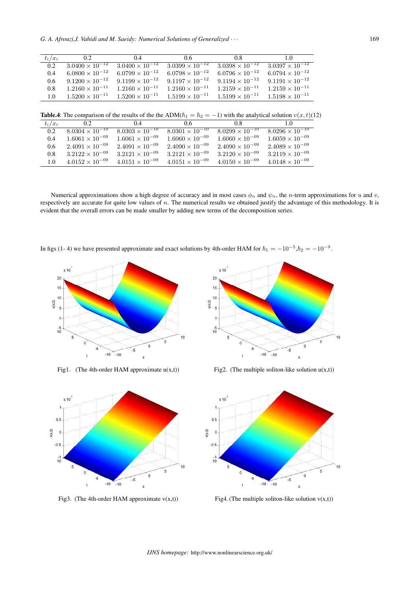| $t_i/x_i$     | 02                       | 04                       | 06                       | 08                                  | 10                       |
|---------------|--------------------------|--------------------------|--------------------------|-------------------------------------|--------------------------|
| 0.2           | $3.0400 \times 10^{-12}$ | $3.0400 \times 10^{-12}$ | $3.0399 \times 10^{-12}$ | $3.\overline{0398 \times 10^{-12}}$ | $3.0397 \times 10^{-12}$ |
| 0.4           | $6.0800 \times 10^{-12}$ | $6.0799 \times 10^{-12}$ | $6.0798 \times 10^{-12}$ | $6.0796 \times 10^{-12}$            | $6.0794 \times 10^{-12}$ |
| $0.6^{\circ}$ | $9.1200 \times 10^{-12}$ | $9.1199 \times 10^{-12}$ | $9.1197 \times 10^{-12}$ | $9.1194 \times 10^{-12}$            | $9.1191 \times 10^{-12}$ |
| 0.8           | $1.2160 \times 10^{-11}$ | $1.2160 \times 10^{-11}$ | $1.2160 \times 10^{-11}$ | $1.2159 \times 10^{-11}$            | $1.2159 \times 10^{-11}$ |
| 1.0           | $1.5200 \times 10^{-11}$ | $1.5200 \times 10^{-11}$ | $1.5199 \times 10^{-11}$ | $1.5199 \times 10^{-11}$            | $1.5198 \times 10^{-11}$ |
|               |                          |                          |                          |                                     |                          |

Table.4: The comparison of the results of the the ADM( $\hbar_1 = \hbar_2 = -1$ ) with the analytical solution  $v(x, t)$ (12)

| $t_i/x_i$     | 0.2.                                | 0.4                      | 0.6                      | 08                       | 1.0                      |
|---------------|-------------------------------------|--------------------------|--------------------------|--------------------------|--------------------------|
| 0.2           | $8.0304 \times \overline{10^{-10}}$ | $8.0303 \times 10^{-10}$ | $8.0301 \times 10^{-10}$ | $8.0299 \times 10^{-10}$ | $8.0296 \times 10^{-10}$ |
| 0.4           | $1.6061 \times 10^{-09}$            | $1.6061 \times 10^{-09}$ | $1.6060 \times 10^{-09}$ | $1.6060 \times 10^{-09}$ | $1.6059 \times 10^{-09}$ |
| $0.6^{\circ}$ | $2.4091 \times 10^{-09}$            | $2.4091 \times 10^{-09}$ | $2.4090 \times 10^{-09}$ | $2.4090 \times 10^{-09}$ | $2.4089 \times 10^{-09}$ |
| 0.8           | $3.2122 \times 10^{-09}$            | $3.2121 \times 10^{-09}$ | $3.2121 \times 10^{-09}$ | $3.2120 \times 10^{-09}$ | $3.2119 \times 10^{-09}$ |
| 1.0           | $4.0152 \times 10^{-09}$            | $4.0151 \times 10^{-09}$ | $4.0151 \times 10^{-09}$ | $4.0150 \times 10^{-09}$ | $4.0148 \times 10^{-09}$ |

Numerical approximations show a high degree of accuracy and in most cases  $\phi_n$  and  $\psi_n$ , the *n*-term approximations for *u* and *v*, respectively are accurate for quite low values of  $n$ . The numerical results we obtained justify the advantage of this methodology. It is evident that the overall errors can be made smaller by adding new terms of the decomposition series.

In figs (1- 4) we have presented approximate and exact solutions by 4th-order HAM for  $\hbar_1 = -10^{-5}$ ,  $\hbar_2 = -10^{-9}$ .





Fig3. (The 4th-order HAM approximate  $v(x,t)$ ) Fig4. (The multiple soliton-like solution  $v(x,t)$ )



Fig1. (The 4th-order HAM approximate  $u(x,t)$ ) Fig2. (The multiple soliton-like solution  $u(x,t)$ )